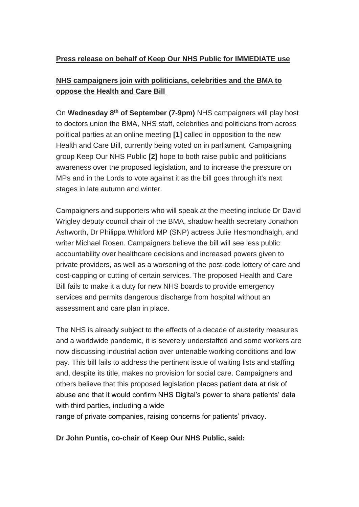# **Press release on behalf of Keep Our NHS Public for IMMEDIATE use**

# **NHS campaigners join with politicians, celebrities and the BMA to oppose the Health and Care Bill**

On **Wednesday 8th of September (7-9pm)** NHS campaigners will play host to doctors union the BMA, NHS staff, celebrities and politicians from across political parties at an online meeting **[1]** called in opposition to the new Health and Care Bill, currently being voted on in parliament. Campaigning group Keep Our NHS Public **[2]** hope to both raise public and politicians awareness over the proposed legislation, and to increase the pressure on MPs and in the Lords to vote against it as the bill goes through it's next stages in late autumn and winter.

Campaigners and supporters who will speak at the meeting include Dr David Wrigley deputy council chair of the BMA, shadow health secretary Jonathon Ashworth, Dr Philippa Whitford MP (SNP) actress Julie Hesmondhalgh, and writer Michael Rosen. Campaigners believe the bill will see less public accountability over healthcare decisions and increased powers given to private providers, as well as a worsening of the post-code lottery of care and cost-capping or cutting of certain services. The proposed Health and Care Bill fails to make it a duty for new NHS boards to provide emergency services and permits dangerous discharge from hospital without an assessment and care plan in place.

The NHS is already subject to the effects of a decade of austerity measures and a worldwide pandemic, it is severely understaffed and some workers are now discussing industrial action over untenable working conditions and low pay. This bill fails to address the pertinent issue of waiting lists and staffing and, despite its title, makes no provision for social care. Campaigners and others believe that this proposed legislation places patient data at risk of abuse and that it would confirm NHS Digital's power to share patients' data with third parties, including a wide

range of private companies, raising concerns for patients' privacy.

**Dr John Puntis, co-chair of Keep Our NHS Public, said:**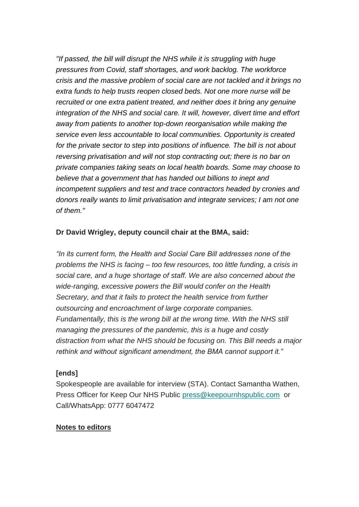*"If passed, the bill will disrupt the NHS while it is struggling with huge pressures from Covid, staff shortages, and work backlog. The workforce crisis and the massive problem of social care are not tackled and it brings no extra funds to help trusts reopen closed beds. Not one more nurse will be recruited or one extra patient treated, and neither does it bring any genuine integration of the NHS and social care. It will, however, divert time and effort away from patients to another top-down reorganisation while making the service even less accountable to local communities. Opportunity is created for the private sector to step into positions of influence. The bill is not about reversing privatisation and will not stop contracting out; there is no bar on private companies taking seats on local health boards. Some may choose to believe that a government that has handed out billions to inept and incompetent suppliers and test and trace contractors headed by cronies and donors really wants to limit privatisation and integrate services; I am not one of them."*

## **Dr David Wrigley, deputy council chair at the BMA, said:**

*"In its current form, the Health and Social Care Bill addresses none of the problems the NHS is facing – too few resources, too little funding, a crisis in social care, and a huge shortage of staff. We are also concerned about the wide-ranging, excessive powers the Bill would confer on the Health Secretary, and that it fails to protect the health service from further outsourcing and encroachment of large corporate companies. Fundamentally, this is the wrong bill at the wrong time. With the NHS still managing the pressures of the pandemic, this is a huge and costly distraction from what the NHS should be focusing on. This Bill needs a major rethink and without significant amendment, the BMA cannot support it."*

### **[ends]**

Spokespeople are available for interview (STA). Contact Samantha Wathen, Press Officer for Keep Our NHS Public [press@keepournhspublic.com](mailto:press@keepournhspublic.com) or Call/WhatsApp: 0777 6047472

### **Notes to editors**